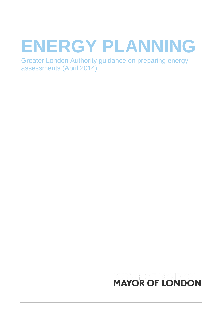# **ENERGY PLANNING**

Greater London Authority guidance on preparing energy assessments (April 2014)

## **MAYOR OF LONDON**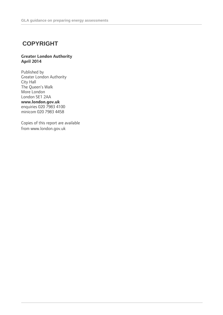### **COPYRIGHT**

### **Greater London Authority April 2014**

Published by Greater London Authority City Hall The Queen's Walk More London London SE1 2AA **www.london.gov.uk** enquiries 020 7983 4100 minicom 020 7983 4458

Copies of this report are available from www.london.gov.uk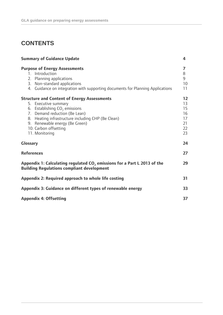### **CONTENTS**

| <b>Summary of Guidance Update</b>                                                                                                                                                                                                                                                 |                                              |
|-----------------------------------------------------------------------------------------------------------------------------------------------------------------------------------------------------------------------------------------------------------------------------------|----------------------------------------------|
| <b>Purpose of Energy Assessments</b><br>1. Introduction<br>2. Planning applications<br>3. Non-standard applications<br>4. Guidance on integration with supporting documents for Planning Applications                                                                             | 7<br>8<br>9<br>10<br>11                      |
| <b>Structure and Content of Energy Assessments</b><br>5. Executive summary<br>6. Establishing $CO2$ emissions<br>7. Demand reduction (Be Lean)<br>8. Heating infrastructure including CHP (Be Clean)<br>9. Renewable energy (Be Green)<br>10. Carbon offsetting<br>11. Monitoring | 12<br>13<br>15<br>16<br>17<br>21<br>22<br>23 |
| <b>Glossary</b>                                                                                                                                                                                                                                                                   | 24                                           |
| <b>References</b>                                                                                                                                                                                                                                                                 | 27                                           |
| Appendix 1: Calculating regulated CO <sub>2</sub> emissions for a Part L 2013 of the<br><b>Building Regulations compliant development</b>                                                                                                                                         | 29                                           |
| Appendix 2: Required approach to whole life costing                                                                                                                                                                                                                               | 31                                           |
| Appendix 3: Guidance on different types of renewable energy                                                                                                                                                                                                                       | 33                                           |
| <b>Appendix 4: Offsetting</b>                                                                                                                                                                                                                                                     | 37                                           |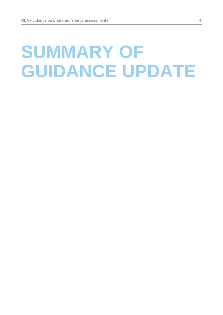# **SUMMARY OF GUIDANCE UPDATE**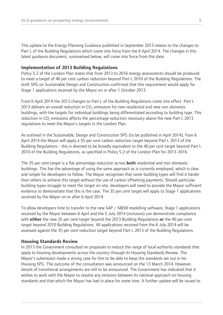This update to the Energy Planning Guidance published in September 2013 relates to the changes to Part L of the Building Regulations which come into force from the 6 April 2014. The changes in this latest guidance document, summarised below, will come into force from this date.

### **Implementation of 2013 Building Regulations**

Policy 5.2 of the London Plan states that from 2013 to 2016 energy assessments should be produced to meet a target of 40 per cent carbon reduction beyond Part L 2010 of the Building Regulations. The draft SPG on Sustainable Design and Construction confirmed that this requirement would apply for Stage 1 applications received by the Mayor on or after 1 October 2013.

From 6 April 2014 the 2013 changes to Part L of the Building Regulations come into effect. Part L 2013 delivers an overall reduction in  $CO<sub>2</sub>$  emissions for new residential and new non-domestic buildings, with the targets for individual buildings being differentiated according to building type. This reduction in CO<sub>2</sub> emissions affects the percentage reduction necessary above the new Part L 2013 regulations to meet the Mayor's targets in the London Plan.

As outlined in the Sustainable, Design and Construction SPG (to be published in April 2014), from 6 April 2014 the Mayor will apply a 35 per cent carbon reduction target beyond Part L 2013 of the Building Regulations - this is deemed to be broadly equivalent to the 40 per cent target beyond Part L 2010 of the Building Regulations, as specified in Policy 5.2 of the London Plan for 2013-2016.

The 35 per cent target is a flat percentage reduction across **both** residential and non-domestic buildings. This has the advantage of using the same approach as is currently employed, which is clear and simple for developers to follow. The Mayor recognises that some building types will find it harder than others to achieve this target without the use of carbon offsetting payments. Should particular building types struggle to meet the target on site, developers will need to provide the Mayor sufficient evidence to demonstrate that this is the case. The 35 per cent target will apply to Stage 1 applications received by the Mayor on or after 6 April 2014.

To allow developers time to transfer to the new SAP / SBEM modelling software, Stage 1 applications received by the Mayor between 6 April and the 5 July 2014 (inclusive) can demonstrate compliance with **either** the new 35 per cent target beyond the 2013 Building Regulations **or** the 40 per cent target beyond 2010 Building Regulations. All applications received from the 6 July 2014 will be assessed against the 35 per cent reduction target beyond Part L 2013 of the Building Regulations.

### **Housing Standards Review**

In 2013 the Government consulted on proposals to reduce the range of local authority standards that apply to housing developments across the country through its Housing Standards Review. The Mayor's submission made a strong case for him to be able to keep the standards set out in his Housing SPG. The outcome of the consultation was announced on the 13 March 2014. However, details of transitional arrangements are still to be announced. The Government has indicated that it wishes to work with the Mayor to resolve any tensions between its national approach on housing standards and that which the Mayor has had in place for some time. A further update will be issued to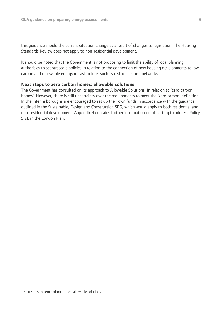this guidance should the current situation change as a result of changes to legislation. The Housing Standards Review does not apply to non-residential development.

It should be noted that the Government is not proposing to limit the ability of local planning authorities to set strategic policies in relation to the connection of new housing developments to low carbon and renewable energy infrastructure, such as district heating networks.

### **Next steps to zero carbon homes: allowable solutions**

The Government has consulted on its approach to Allowable Solutions<sup>1</sup> in relation to 'zero carbon homes'. However, there is still uncertainty over the requirements to meet the 'zero carbon' definition. In the interim boroughs are encouraged to set up their own funds in accordance with the guidance outlined in the Sustainable, Design and Construction SPG, which would apply to both residential and non-residential development. Appendix 4 contains further information on offsetting to address Policy 5.2E in the London Plan.

 $\overline{a}$ 

<sup>&</sup>lt;sup>1</sup> Next steps to zero carbon homes: allowable solutions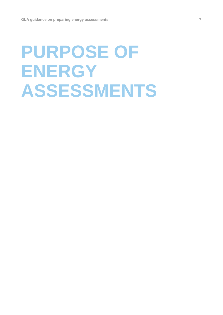# **PURPOSE OF ENERGY ASSESSMENTS**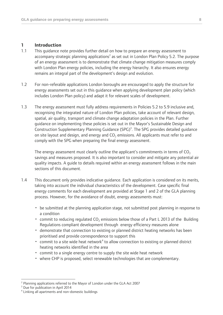### **1 Introduction**

- 1.1 This guidance note provides further detail on how to prepare an energy assessment to accompany strategic planning applications<sup>2</sup> as set out in London Plan Policy 5.2. The purpose of an energy assessment is to demonstrate that climate change mitigation measures comply with London Plan energy policies, including the energy hierarchy. It also ensures energy remains an integral part of the development's design and evolution.
- 1.2 For non-referable applications London boroughs are encouraged to apply the structure for energy assessments set out in this guidance when applying development plan policy (which includes London Plan policy) and adapt it for relevant scales of development.
- 1.3 The energy assessment must fully address requirements in Policies 5.2 to 5.9 inclusive and, recognising the integrated nature of London Plan policies, take account of relevant design, spatial, air quality, transport and climate change adaptation policies in the Plan. Further guidance on implementing these policies is set out in the Mayor's Sustainable Design and Construction Supplementary Planning Guidance (SPG)<sup>3</sup>. The SPG provides detailed guidance on site layout and design, and energy and CO<sub>2</sub> emissions. All applicants must refer to and comply with the SPG when preparing the final energy assessment.

The energy assessment must clearly outline the applicant's commitments in terms of  $CO<sub>2</sub>$ savings and measures proposed. It is also important to consider and mitigate any potential air quality impacts. A guide to details required within an energy assessment follows in the main sections of this document.

- 1.4 This document only provides indicative guidance. Each application is considered on its merits, taking into account the individual characteristics of the development. Case specific final energy comments for each development are provided at Stage 1 and 2 of the GLA planning process. However, for the avoidance of doubt, energy assessments must:
	- be submitted at the planning application stage, not submitted post planning in response to a condition
	- commit to reducing regulated CO<sub>2</sub> emissions below those of a Part L 2013 of the Building Regulations compliant development through energy efficiency measures alone
	- demonstrate that connection to existing or planned district heating networks has been prioritised and provide correspondence to support this
	- commit to a site wide heat network<sup>4</sup> to allow connection to existing or planned district heating networks identified in the area
	- commit to a single energy centre to supply the site wide heat network
	- where CHP is proposed, select renewable technologies that are complementary.

 $\overline{a}$ 

<sup>2</sup> Planning applications referred to the Mayor of London under the GLA Act 2007

<sup>&</sup>lt;sup>3</sup> Due for publication in April 2014

<sup>4</sup> Linking all apartments and non-domestic buildings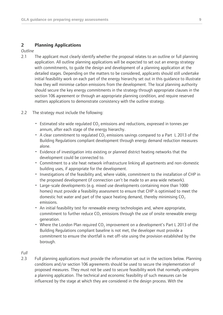### **2 Planning Applications**

*Outline*

- 2.1 The applicant must clearly identify whether the proposal relates to an outline or full planning application. All outline planning applications will be expected to set out an energy strategy with commitments, to guide the design and development of a planning application at the detailed stages. Depending on the matters to be considered, applicants should still undertake initial feasibility work on each part of the energy hierarchy set out in this guidance to illustrate how they will minimise carbon emissions from the development. The local planning authority should secure the key energy commitments in the strategy through appropriate clauses in the section 106 agreement or through an appropriate planning condition, and require reserved matters applications to demonstrate consistency with the outline strategy.
- 2.2 The strategy must include the following:
	- Estimated site wide regulated  $CO<sub>2</sub>$  emissions and reductions, expressed in tonnes per annum, after each stage of the energy hierarchy.
	- A clear commitment to regulated  $CO<sub>2</sub>$  emissions savings compared to a Part L 2013 of the Building Regulations compliant development through energy demand reduction measures alone.
	- Evidence of investigation into existing or planned district heating networks that the development could be connected to.
	- Commitment to a site heat network infrastructure linking all apartments and non-domestic building uses, if appropriate for the development.
	- Investigations of the feasibility and, where viable, commitment to the installation of CHP in the proposed development (if connection can't be made to an area wide network).
	- Large-scale developments (e.g. mixed use developments containing more than 1000 homes) must provide a feasibility assessment to ensure that CHP is optimised to meet the domestic hot water and part of the space heating demand, thereby minimising  $CO<sub>2</sub>$ emissions.
	- An initial feasibility test for renewable energy technologies and, where appropriate, commitment to further reduce  $CO<sub>2</sub>$  emissions through the use of onsite renewable energy generation.
	- Where the London Plan required  $CO<sub>2</sub>$  improvement on a development's Part L 2013 of the Building Regulations compliant baseline is not met, the developer must provide a commitment to ensure the shortfall is met off-site using the provision established by the borough.

*Full*

2.3 Full planning applications must provide the information set out in the sections below. Planning conditions and/or section 106 agreements should be used to secure the implementation of proposed measures. They must not be used to secure feasibility work that normally underpins a planning application. The technical and economic feasibility of such measures can be influenced by the stage at which they are considered in the design process. With the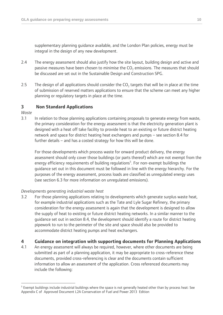supplementary planning guidance available, and the London Plan policies, energy must be integral in the design of any new development.

- 2.4 The energy assessment should also justify how the site layout, building design and active and passive measures have been chosen to minimise the CO<sub>2</sub> emissions. The measures that should be discussed are set out in the Sustainable Design and Construction SPG.
- 2.5 The design of all applications should consider the  $CO_2$  targets that will be in place at the time of submission of reserved matters applications to ensure that the scheme can meet any higher planning or regulatory targets in place at the time.

### **3 Non Standard Applications**

*Waste*

 $\overline{a}$ 

3.1 In relation to those planning applications containing proposals to generate energy from waste, the primary consideration for the energy assessment is that the electricity generation plant is designed with a heat off take facility to provide heat to an existing or future district heating network and space for district heating heat exchangers and pumps – see section 8.4 for further details – and has a costed strategy for how this will be done.

For those developments which process waste for onward product delivery, the energy assessment should only cover those buildings (or parts thereof) which are not exempt from the energy efficiency requirements of building regulations<sup>5</sup>. For non-exempt buildings the guidance set out in this document must be followed in line with the energy hierarchy. For the purposes of the energy assessment, process loads are classified as unregulated energy uses (see section 6.3 for more information on unregulated emissions).

### *Developments generating industrial waste heat*

3.2 For those planning applications relating to developments which generate surplus waste heat, for example industrial applications such as the Tate and Lyle Sugar Refinery, the primary consideration for the energy assessment is again that the development is designed to allow the supply of heat to existing or future district heating networks. In a similar manner to the guidance set out in section 8.4, the development should identify a route for district heating pipework to run to the perimeter of the site and space should also be provided to accommodate district heating pumps and heat exchangers.

### **4 Guidance on integration with supporting documents for Planning Applications**

4.1 An energy assessment will always be required, however, where other documents are being submitted as part of a planning application, it may be appropriate to cross-reference these documents, provided cross-referencing is clear and the documents contain sufficient information to allow an assessment of the application. Cross referenced documents may include the following:

<sup>&</sup>lt;sup>5</sup> Exempt buildings include industrial buildings where the space is not generally heated other than by process heat: See Appendix C of Approved Document L2A Conservation of Fuel and Power 2013 Edition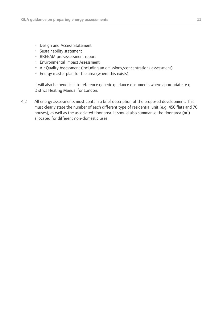- Design and Access Statement
- Sustainability statement
- BREEAM pre-assessment report
- Environmental Impact Assessment
- Air Quality Assessment (including an emissions/concentrations assessment)
- Energy master plan for the area (where this exists).

It will also be beneficial to reference generic guidance documents where appropriate, e.g. District Heating Manual for London.

4.2 All energy assessments must contain a brief description of the proposed development. This must clearly state the number of each different type of residential unit (e.g. 450 flats and 70 houses), as well as the associated floor area. It should also summarise the floor area (m<sup>2</sup>) allocated for different non-domestic uses.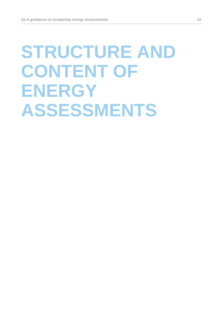# **STRUCTURE AND CONTENT OF ENERGY ASSESSMENTS**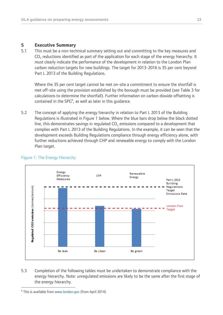### **5 Executive Summary**

5.1 This must be a non-technical summary setting out and committing to the key measures and  $CO<sub>2</sub>$  reductions identified as part of the application for each stage of the energy hierarchy. It must clearly indicate the performance of the development in relation to the London Plan carbon reduction targets for new buildings. The target for 2013-2016 is 35 per cent beyond Part L 2013 of the Building Regulations.

Where the 35 per cent target cannot be met on-site a commitment to ensure the shortfall is met off-site using the provision established by the borough must be provided (see Table 3 for calculations to determine the shortfall). Further information on carbon dioxide offsetting is contained in the  $SPG<sup>6</sup>$ , as well as later in this guidance.

5.2 The concept of applying the energy hierarchy in relation to Part L 2013 of the Building Regulations is illustrated in Figure 1 below. Where the blue bars drop below the black dotted line, this demonstrates savings in regulated  $CO<sub>2</sub>$  emissions compared to a development that complies with Part L 2013 of the Building Regulations. In the example, it can be seen that the development exceeds Building Regulations compliance through energy efficiency alone, with further reductions achieved through CHP and renewable energy to comply with the London Plan target.



### Figure 1: The Energy Hierarchy

5.3 Completion of the following tables must be undertaken to demonstrate compliance with the energy hierarchy. Note: unregulated emissions are likely to be the same after the first stage of the energy hierarchy.

 $\overline{a}$ <sup>6</sup> This is available from [www.london.gov](http://www.london.gov/) (from April 2014)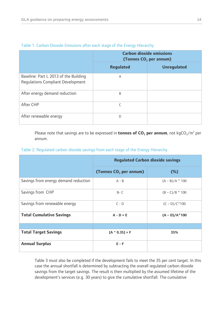|                                                                            | <b>Carbon dioxide emissions</b><br>(Tonnes CO <sub>2</sub> per annum) |                    |
|----------------------------------------------------------------------------|-----------------------------------------------------------------------|--------------------|
|                                                                            | <b>Regulated</b>                                                      | <b>Unregulated</b> |
| Baseline: Part L 2013 of the Building<br>Regulations Compliant Development | A                                                                     |                    |
| After energy demand reduction                                              | B                                                                     |                    |
| After CHP                                                                  |                                                                       |                    |
| After renewable energy                                                     | D                                                                     |                    |

### Table 1: Carbon Dioxide Emissions after each stage of the Energy Hierarchy

Please note that savings are to be expressed in **tonnes of CO<sub>2</sub> per annum**, not kgCO<sub>2</sub>/m<sup>2</sup> per annum.

### Table 2: Regulated carbon dioxide savings from each stage of the Energy Hierarchy

|                                      | <b>Regulated Carbon dioxide savings</b> |                   |  |
|--------------------------------------|-----------------------------------------|-------------------|--|
|                                      | (Tonnes CO <sub>2</sub> per annum)      | $(\%)$            |  |
| Savings from energy demand reduction | $A - B$                                 | $(A - B)/A * 100$ |  |
| Savings from CHP                     | $B - C$                                 | $(B - C)/B$ * 100 |  |
| Savings from renewable energy        | $C - D$                                 | $(C - D)/C^*100$  |  |
| <b>Total Cumulative Savings</b>      | $A - D = E$                             | $(A - D)/A^*100$  |  |
|                                      |                                         |                   |  |
| <b>Total Target Savings</b>          | $[A * 0.35] = F$                        | 35%               |  |
| <b>Annual Surplus</b>                | $E - F$                                 |                   |  |

Table 3 must also be completed if the development fails to meet the 35 per cent target. In this case the annual shortfall is determined by subtracting the overall regulated carbon dioxide savings from the target savings. The result is then multiplied by the assumed lifetime of the development's services (e.g. 30 years) to give the cumulative shortfall. The cumulative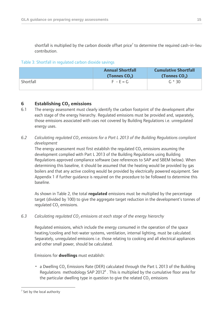shortfall is multiplied by the carbon dioxide offset price<sup>7</sup> to determine the required cash-in-lieu contribution.

### Table 3: Shortfall in regulated carbon dioxide savings

|           | <b>Annual Shortfall</b><br>(Tonnes $CO2$ ) | <b>Cumulative Shortfall</b><br>(Tonnes $CO2$ ) |
|-----------|--------------------------------------------|------------------------------------------------|
| Shortfall | $F - E = G$                                | $G * 30$                                       |

### **6 Establishing CO<sup>2</sup> emissions**

- 6.1 The energy assessment must clearly identify the carbon footprint of the development after each stage of the energy hierarchy. Regulated emissions must be provided and, separately, those emissions associated with uses not covered by Building Regulations i.e. unregulated energy uses.
- *6.2 Calculating regulated CO<sup>2</sup> emissions for a Part L 2013 of the Building Regulations compliant development*

The energy assessment must first establish the regulated  $CO<sub>2</sub>$  emissions assuming the development complied with Part L 2013 of the Building Regulations using Building Regulations approved compliance software (see references to SAP and SBEM below). When determining this baseline, it should be assumed that the heating would be provided by gas boilers and that any active cooling would be provided by electrically powered equipment. See Appendix 1 if further guidance is required on the procedure to be followed to determine this baseline.

As shown in Table 2, the total **regulated** emissions must be multiplied by the percentage target (divided by 100) to give the aggregate target reduction in the development's tonnes of regulated  $CO<sub>2</sub>$  emissions.

*6.3 Calculating regulated CO<sup>2</sup> emissions at each stage of the energy hierarchy*

Regulated emissions, which include the energy consumed in the operation of the space heating/cooling and hot-water systems, ventilation, internal lighting, must be calculated. Separately, unregulated emissions i.e. those relating to cooking and all electrical appliances and other small power, should be calculated.

### Emissions for **dwellings** must establish:

• a Dwelling  $CO<sub>2</sub>$  Emissions Rate (DER) calculated through the Part L 2013 of the Building Regulations methodology SAP 2012 $^8$ . This is multiplied by the cumulative floor area for the particular dwelling type in question to give the related  $CO<sub>2</sub>$  emissions

 $\overline{a}$ 

 $7$  Set by the local authority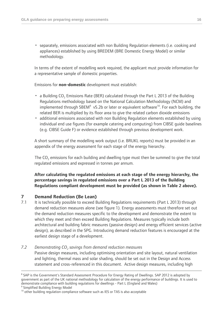• separately, emissions associated with non Building Regulation elements (i.e. cooking and appliances) established by using BREDEM (BRE Domestic Energy Model) or similar methodology.

In terms of the extent of modelling work required, the applicant must provide information for a representative sample of domestic properties.

Emissions for **non-domestic** development must establish:

- a Building CO<sub>2</sub> Emissions Rate (BER) calculated through the Part L 2013 of the Building Regulations methodology based on the National Calculation Methodology (NCM) and implemented through SBEM<sup>9</sup> v5.2b or later or equivalent software<sup>10</sup>. For each building, the related BER is multiplied by its floor area to give the related carbon dioxide emissions
- additional emissions associated with non Building Regulation elements established by using individual end use figures (for example catering and computing) from CIBSE guide baselines (e.g. CIBSE Guide F) or evidence established through previous development work.

A short summary of the modelling work output (i.e. BRUKL reports) must be provided in an appendix of the energy assessment for each stage of the energy hierarchy.

The CO<sub>2</sub> emissions for each building and dwelling type must then be summed to give the total regulated emissions and expressed in tonnes per annum.

**After calculating the regulated emissions at each stage of the energy hierarchy, the percentage savings in regulated emissions over a Part L 2013 of the Building Regulations compliant development must be provided (as shown in Table 2 above).**

### **7 Demand Reduction (Be Lean)**

 $\overline{a}$ 

7.1 It is technically possible to exceed Building Regulations requirements (Part L 2013) through demand reduction measures alone (see figure 1). Energy assessments must therefore set out the demand reduction measures specific to the development and demonstrate the extent to which they meet and then exceed Building Regulations. Measures typically include both architectural and building fabric measures (passive design) and energy efficient services (active design), as described in the SPG. Introducing demand reduction features is encouraged at the earliest design stage of a development.

### *7.2 Demonstrating CO<sup>2</sup> savings from demand reduction measures*

Passive design measures, including optimising orientation and site layout, natural ventilation and lighting, thermal mass and solar shading, should be set out in the Design and Access statement and cross-referenced in this document. Active design measures, including high

<sup>&</sup>lt;sup>8</sup> SAP is the Government's Standard Assessment Procedure for Energy Rating of Dwellings. SAP 2012 is adopted by government as part of the UK national methodology for calculation of the energy performance of buildings. It is used to demonstrate compliance with building regulations for dwellings - Part L (England and Wales) <sup>9</sup> Simplified Building Energy Model

<sup>&</sup>lt;sup>10</sup> other building regulation compliance software such as IES or TAS is also acceptable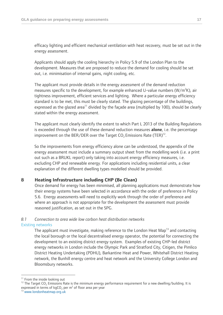efficacy lighting and efficient mechanical ventilation with heat recovery, must be set out in the energy assessment.

Applicants should apply the cooling hierarchy in Policy 5.9 of the London Plan to the development. Measures that are proposed to reduce the demand for cooling should be set out, i.e. minimisation of internal gains, night cooling, etc.

The applicant must provide details in the energy assessment of the demand reduction measures specific to the development, for example enhanced U-value numbers  $(W/m<sup>2</sup>K)$ , air tightness improvement, efficient services and lighting. Where a particular energy efficiency standard is to be met, this must be clearly stated. The glazing percentage of the buildings, expressed as the glazed area<sup>11</sup> divided by the façade area (multiplied by 100), should be clearly stated within the energy assessment.

The applicant must clearly identify the extent to which Part L 2013 of the Building Regulations is exceeded through the use of these demand reduction measures **alone**, i.e. the percentage improvement on the BER/DER over the Target CO<sub>2</sub> Emissions Rate (TER)<sup>12</sup>.

So the improvements from energy efficiency alone can be understood, the appendix of the energy assessment must include a summary output sheet from the modelling work (i.e. a print out such as a BRUKL report) only taking into account energy efficiency measures, i.e. excluding CHP and renewable energy. For applications including residential units, a clear explanation of the different dwelling types modelled should be provided.

### **8 Heating Infrastructure including CHP (Be Clean)**

Once demand for energy has been minimised, all planning applications must demonstrate how their energy systems have been selected in accordance with the order of preference in Policy 5.6. Energy assessments will need to explicitly work through the order of preference and where an approach is not appropriate for the development the assessment must provide reasoned justification, as set out in the SPG.

## *8.1 Connection to area wide low carbon heat distribution networks*

### Existing networks

The applicant must investigate, making reference to the London Heat Map<sup>13</sup> and contacting the local borough or the local decentralised energy operator, the potential for connecting the development to an existing district energy system. Examples of existing CHP-led district energy networks in London include the Olympic Park and Stratford City, Citigen, the Pimlico District Heating Undertaking (PDHU), Barkantine Heat and Power, Whitehall District Heating network, the Bunhill energy centre and heat network and the University College London and Bloomsbury networks.

 $\overline{a}$ 

<sup>&</sup>lt;sup>11</sup> From the inside looking out

<sup>&</sup>lt;sup>12</sup> The Target CO<sub>2</sub> Emissions Rate is the minimum energy performance requirement for a new dwelling/building. It is expressed in terms of  $kgCO<sub>2</sub>$  per m<sup>2</sup> of floor area per year

<sup>13</sup> [www.londonheatmap.org.uk](http://www.londonheatmap.org.uk/)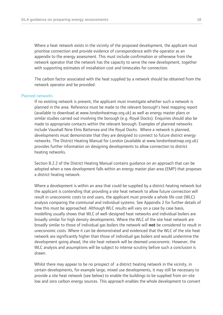Where a heat network exists in the vicinity of the proposed development, the applicant must prioritise connection and provide evidence of correspondence with the operator as an appendix to the energy assessment. This must include confirmation or otherwise from the network operator that the network has the capacity to serve the new development, together with supporting estimates of installation cost and timescales for connection.

The carbon factor associated with the heat supplied by a network should be obtained from the network operator and be provided.

### Planned networks

If no existing network is present, the applicant must investigate whether such a network is planned in the area. Reference must be made to the relevant borough's heat mapping report (available to download at www.londonheatmap.org.uk) as well as energy master plans or similar studies carried out involving the borough (e.g. Royal Docks). Enquiries should also be made to appropriate contacts within the relevant borough. Examples of planned networks include Vauxhall Nine Elms Battersea and the Royal Docks. Where a network is planned, developments must demonstrate that they are designed to connect to future district energy networks. The District Heating Manual for London (available at www.londonheatmap.org.uk) provides further information on designing developments to allow connection to district heating networks.

Section 8.2.2 of the District Heating Manual contains guidance on an approach that can be adopted when a new development falls within an energy master plan area (EMP) that proposes a district heating network.

Where a development is within an area that could be supplied by a district heating network but the applicant is contending that providing a site heat network to allow future connection will result in uneconomic costs to end users, the applicant must provide a whole life cost (WLC) analysis comparing the communal and individual systems. See Appendix 2 for further details of how this must be approached. Although WLC results will vary on a case by case basis, modelling usually shows that WLC of well-designed heat networks and individual boilers are broadly similar for high density developments. Where the WLC of the site heat network are broadly similar to those of individual gas boilers the network will **not** be considered to result in uneconomic costs. Where it can be demonstrated and evidenced that the WLC of the site heat network are significantly higher than those of individual gas boilers and would undermine the development going ahead, the site heat network will be deemed uneconomic. However, the WLC analysis and assumptions will be subject to intense scrutiny before such a conclusion is drawn.

Whilst there may appear to be no prospect of a district heating network in the vicinity, in certain developments, for example large, mixed use developments, it may still be necessary to provide a site heat network (see below) to enable the buildings to be supplied from on-site low and zero carbon energy sources. This approach enables the whole development to convert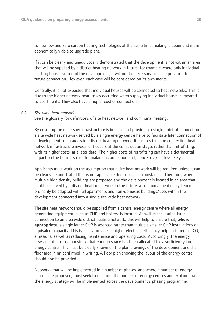to new low and zero carbon heating technologies at the same time, making it easier and more economically viable to upgrade plant.

If it can be clearly and unequivocally demonstrated that the development is not within an area that will be supplied by a district heating network in future, for example where only individual existing houses surround the development, it will not be necessary to make provision for future connection. However, each case will be considered on its own merits.

Generally, it is not expected that individual houses will be connected to heat networks. This is due to the higher network heat losses occurring when supplying individual houses compared to apartments. They also have a higher cost of connection.

### *8.2 Site wide heat networks*

See the glossary for definitions of site heat network and communal heating.

By ensuring the necessary infrastructure is in place and providing a single point of connection, a site wide heat network served by a single energy centre helps to facilitate later connection of a development to an area wide district heating network. It ensures that the connecting heat network infrastructure investment occurs at the construction stage, rather than retrofitting, with its higher costs, at a later date. The higher costs of retrofitting can have a detrimental impact on the business case for making a connection and, hence, make it less likely.

Applicants must work on the assumption that a site heat network will be required unless it can be clearly demonstrated that is not applicable due to local circumstances. Therefore, where multiple high density buildings are proposed and the development is located in an area that could be served by a district heating network in the future, a communal heating system must ordinarily be adopted with all apartments and non-domestic buildings/uses within the development connected into a single site wide heat network.

The site heat network should be supplied from a central energy centre where all energy generating equipment, such as CHP and boilers, is located. As well as facilitating later connection to an area wide district heating network, this will help to ensure that, **where appropriate**, a single larger CHP is adopted rather than multiple smaller CHP installations of equivalent capacity. This typically provides a higher electrical efficiency helping to reduce  $CO<sub>2</sub>$ emissions, as well as reducing maintenance and operating costs. Accordingly, the energy assessment must demonstrate that enough space has been allocated for a sufficiently large energy centre. This must be clearly shown on the plan drawings of the development and the floor area in  $m^2$  confirmed in writing. A floor plan showing the layout of the energy centre should also be provided.

Networks that will be implemented in a number of phases, and where a number of energy centres are proposed, must seek to minimise the number of energy centres and explain how the energy strategy will be implemented across the development's phasing programme.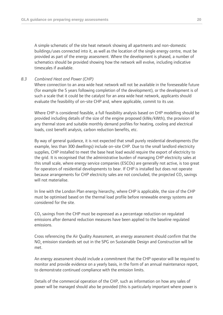A simple schematic of the site heat network showing all apartments and non-domestic buildings/uses connected into it, as well as the location of the single energy centre, must be provided as part of the energy assessment. Where the development is phased, a number of schematics should be provided showing how the network will evolve, including indicative timescales if available.

### *8.3 Combined Heat and Power (CHP)*

Where connection to an area wide heat network will not be available in the foreseeable future (for example the 5 years following completion of the development), or the development is of such a scale that it could be the catalyst for an area wide heat network, applicants should evaluate the feasibility of on-site CHP and, where applicable, commit to its use.

Where CHP is considered feasible, a full feasibility analysis based on CHP modelling should be provided including details of the size of the engine proposed (kWe/kWth), the provision of any thermal store and suitable monthly demand profiles for heating, cooling and electrical loads, cost benefit analysis, carbon reduction benefits, etc.

By way of general guidance, it is not expected that small purely residential developments (for example, less than 300 dwellings) include on-site CHP. Due to the small landlord electricity supplies, CHP installed to meet the base heat load would require the export of electricity to the grid. It is recognised that the administrative burden of managing CHP electricity sales at this small scale, where energy service companies (ESCOs) are generally not active, is too great for operators of residential developments to bear. If CHP is installed but does not operate because arrangements for CHP electricity sales are not concluded, the projected CO<sub>2</sub> savings will not materialise.

In line with the London Plan energy hierarchy, where CHP is applicable, the size of the CHP must be optimised based on the thermal load profile before renewable energy systems are considered for the site.

 $\textsf{CO}_2$  savings from the CHP must be expressed as a percentage reduction on regulated emissions after demand reduction measures have been applied to the baseline regulated emissions.

Cross referencing the Air Quality Assessment, an energy assessment should confirm that the  $NO<sub>x</sub>$  emission standards set out in the SPG on Sustainable Design and Construction will be met.

An energy assessment should include a commitment that the CHP operator will be required to monitor and provide evidence on a yearly basis, in the form of an annual maintenance report, to demonstrate continued compliance with the emission limits.

Details of the commercial operation of the CHP, such as information on how any sales of power will be managed should also be provided (this is particularly important where power is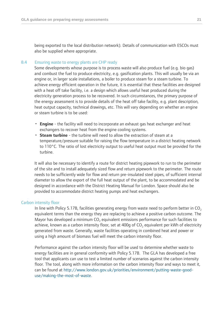being exported to the local distribution network). Details of communication with ESCOs must also be supplied where appropriate.

### 8.4 Ensuring waste to energy plants are CHP ready

Some developments whose purpose is to process waste will also produce fuel (e.g. bio gas) and combust the fuel to produce electricity, e.g. gasification plants. This will usually be via an engine or, in larger scale installations, a boiler to produce steam for a steam turbine. To achieve energy efficient operation in the future, it is essential that these facilities are designed with a heat off take facility, i.e. a design which allows useful heat produced during the electricity generation process to be recovered. In such circumstances, the primary purpose of the energy assessment is to provide details of the heat off take facility, e.g. plant description, heat output capacity, technical drawings, etc. This will vary depending on whether an engine or steam turbine is to be used:

- **Engine** the facility will need to incorporate an exhaust gas heat exchanger and heat exchangers to recover heat from the engine cooling systems.
- **Steam turbine** the turbine will need to allow the extraction of steam at a temperature/pressure suitable for raising the flow temperature in a district heating network to 110°C. The ratio of lost electricity output to useful heat output must be provided for the turbine.

It will also be necessary to identify a route for district heating pipework to run to the perimeter of the site and to install adequately sized flow and return pipework to the perimeter. The route needs to be sufficiently wide for flow and return pre-insulated steel pipes, of sufficient internal diameter to allow the export of the full heat output of the plant, to be accommodated and be designed in accordance with the District Heating Manual for London. Space should also be provided to accommodate district heating pumps and heat exchangers.

### Carbon intensity floor

In line with Policy 5.17B, facilities generating energy from waste need to perform better in  $CO<sub>2</sub>$ equivalent terms than the energy they are replacing to achieve a positive carbon outcome. The Mayor has developed a minimum  $CO<sub>2</sub>$  equivalent emissions performance for such facilities to achieve, known as a carbon intensity floor, set at 400 $q$  of CO<sub>2</sub> equivalent per kWh of electricity generated from waste. Generally, waste facilities operating in combined heat and power or using a high amount of biomass fuel will meet the carbon intensity floor.

Performance against the carbon intensity floor will be used to determine whether waste to energy facilities are in general conformity with Policy 5.17B. The GLA has developed a free tool that applicants can use to test a limited number of scenarios against the carbon intensity floor. The tool, along with more information on the carbon intensity floor and ways to meet it, can be found at [http://www.london.gov.uk/priorities/environment/putting-waste-good](http://www.london.gov.uk/priorities/environment/putting-waste-good-use/making-the-most-of-waste)[use/making-the-most-of-waste.](http://www.london.gov.uk/priorities/environment/putting-waste-good-use/making-the-most-of-waste)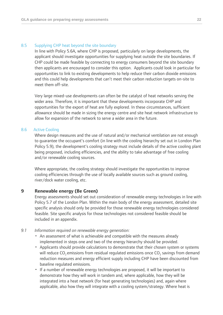### 8.5 Supplying CHP heat beyond the site boundary

In line with Policy 5.6A, where CHP is proposed, particularly on large developments, the applicant should investigate opportunities for supplying heat outside the site boundaries. If CHP could be made feasible by connecting to energy consumers beyond the site boundary then applicants are encouraged to consider this option. Applicants could look in particular for opportunities to link to existing developments to help reduce their carbon dioxide emissions and this could help developments that can't meet their carbon reduction targets on-site to meet them off-site.

Very large mixed-use developments can often be the catalyst of heat networks serving the wider area. Therefore, it is important that these developments incorporate CHP and opportunities for the export of heat are fully explored. In these circumstances, sufficient allowance should be made in sizing the energy centre and site heat network infrastructure to allow for expansion of the network to serve a wider area in the future.

### 8.6 Active Cooling

Where design measures and the use of natural and/or mechanical ventilation are not enough to guarantee the occupant's comfort (in line with the cooling hierarchy set out in London Plan Policy 5.9), the development's cooling strategy must include details of the active cooling plant being proposed, including efficiencies, and the ability to take advantage of free cooling and/or renewable cooling sources.

Where appropriate, the cooling strategy should investigate the opportunities to improve cooling efficiencies through the use of locally available sources such as ground cooling, river/dock water cooling, etc.

### **9 Renewable energy (Be Green)**

Energy assessments should set out consideration of renewable energy technologies in line with Policy 5.7 of the London Plan. Within the main body of the energy assessment, detailed site specific analysis should only be provided for those renewable energy technologies considered feasible. Site specific analysis for those technologies not considered feasible should be included in an appendix.

- *9.1 Information required on renewable energy generation:*
	- An assessment of what is achievable and compatible with the measures already implemented in steps one and two of the energy hierarchy should be provided.
	- Applicants should provide calculations to demonstrate that their chosen system or systems will reduce CO<sub>2</sub> emissions from residual regulated emissions once CO<sub>2</sub> savings from demand reduction measures and energy efficient supply including CHP have been discounted from baseline regulated emissions.
	- If a number of renewable energy technologies are proposed, it will be important to demonstrate how they will work in tandem and, where applicable, how they will be integrated into a heat network (for heat generating technologies) and, again where applicable, also how they will integrate with a cooling system/strategy. Where heat is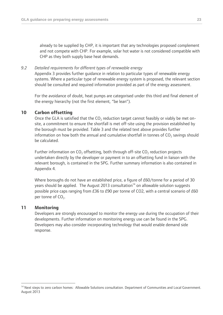already to be supplied by CHP, it is important that any technologies proposed complement and not compete with CHP. For example, solar hot water is not considered compatible with CHP as they both supply base heat demands.

### *9.2 Detailed requirements for different types of renewable energy*

Appendix 3 provides further guidance in relation to particular types of renewable energy systems. Where a particular type of renewable energy system is proposed, the relevant section should be consulted and required information provided as part of the energy assessment.

For the avoidance of doubt, heat pumps are categorised under this third and final element of the energy hierarchy (not the first element, "be lean").

### **10 Carbon offsetting**

Once the GLA is satisfied that the  $CO<sub>2</sub>$  reduction target cannot feasibly or viably be met onsite, a commitment to ensure the shortfall is met off-site using the provision established by the borough must be provided. Table 3 and the related text above provides further information on how both the annual and cumulative shortfall in tonnes of  $\mathsf{CO}_2$  savings should be calculated.

Further information on  $CO_2$  offsetting, both through off-site  $CO_2$  reduction projects undertaken directly by the developer or payment in to an offsetting fund in liaison with the relevant borough, is contained in the SPG. Further summary information is also contained in Appendix 4.

Where boroughs do not have an established price, a figure of £60/tonne for a period of 30 years should be applied. The August 2013 consultation<sup>14</sup> on allowable solution suggests possible price caps ranging from £36 to £90 per tonne of CO2, with a central scenario of £60 per tonne of  $CO<sub>2</sub>$ .

### **11 Monitoring**

 $\overline{a}$ 

Developers are strongly encouraged to monitor the energy use during the occupation of their developments. Further information on monitoring energy use can be found in the SPG. Developers may also consider incorporating technology that would enable demand side response.

<sup>&</sup>lt;sup>14</sup> Next steps to zero carbon homes: Allowable Solutions consultation. Department of Communities and Local Government. August 2013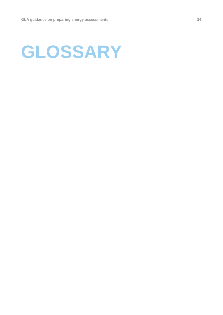## **GLOSSARY**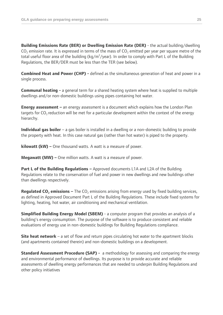**Building Emissions Rate (BER) or Dwelling Emission Rate (DER)** - the actual building/dwelling  $CO<sub>2</sub>$  emission rate. It is expressed in terms of the mass of  $CO<sub>2</sub>$  emitted per year per square metre of the total useful floor area of the building (kg/m<sup>2</sup>/year). In order to comply with Part L of the Building Regulations, the BER/DER must be less than the TER (see below).

**Combined Heat and Power (CHP) -** defined as the simultaneous generation of heat and power in a single process.

**Communal heating -** a general term for a shared heating system where heat is supplied to multiple dwellings and/or non-domestic buildings using pipes containing hot water.

**Energy assessment –** an energy assessment is a document which explains how the London Plan targets for  $CO<sub>2</sub>$  reduction will be met for a particular development within the context of the energy hierarchy.

**Individual gas boiler** – a gas boiler is installed in a dwelling or a non-domestic building to provide the property with heat. In this case natural gas (rather than hot water) is piped to the property.

**kilowatt (kW) –** One thousand watts. A watt is a measure of power.

**Megawatt (MW) –** One million watts. A watt is a measure of power.

**Part L of the Building Regulations –** Approved documents L1A and L2A of the Building Regulations relate to the conservation of fuel and power in new dwellings and new buildings other than dwellings respectively.

**Regulated CO<sub>2</sub> emissions –** The CO<sub>2</sub> emissions arising from energy used by fixed building services, as defined in Approved Document Part L of the Building Regulations. These include fixed systems for lighting, heating, hot water, air conditioning and mechanical ventilation.

**Simplified Building Energy Model (SBEM)** - a computer program that provides an analysis of a building's energy consumption. The purpose of the software is to produce consistent and reliable evaluations of energy use in non-domestic buildings for Building Regulations compliance.

**Site heat network** – a set of flow and return pipes circulating hot water to the apartment blocks (and apartments contained therein) and non-domestic buildings on a development.

**Standard Assessment Procedure (SAP) -** a methodology for assessing and comparing the energy and environmental performance of dwellings. Its purpose is to provide accurate and reliable assessments of dwelling energy performances that are needed to underpin Building Regulations and other policy initiatives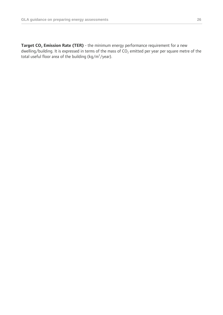**Target CO<sup>2</sup> Emission Rate (TER)** - the minimum energy performance requirement for a new dwelling/building. It is expressed in terms of the mass of  $CO<sub>2</sub>$  emitted per year per square metre of the total useful floor area of the building (kg/m<sup>2</sup>/year).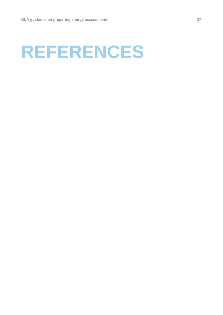## **REFERENCES**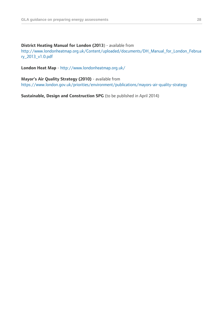### **District Heating Manual for London (2013**) - available from

[http://www.londonheatmap.org.uk/Content/uploaded/documents/DH\\_Manual\\_for\\_London\\_Februa](http://www.londonheatmap.org.uk/Content/uploaded/documents/DH_Manual_for_London_February_2013_v1.0.pdf) [ry\\_2013\\_v1.0.pdf](http://www.londonheatmap.org.uk/Content/uploaded/documents/DH_Manual_for_London_February_2013_v1.0.pdf)

**London Heat Map** - <http://www.londonheatmap.org.uk/>

**Mayor's Air Quality Strategy (2010)** - available from <https://www.london.gov.uk/priorities/environment/publications/mayors-air-quality-strategy>

**Sustainable, Design and Construction SPG** (to be published in April 2014)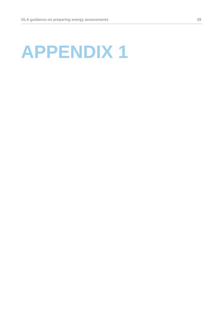## **APPENDIX 1**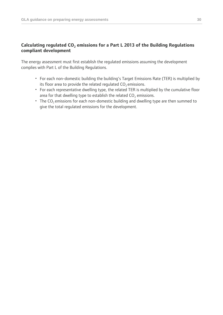### **Calculating regulated CO<sup>2</sup> emissions for a Part L 2013 of the Building Regulations compliant development**

The energy assessment must first establish the regulated emissions assuming the development complies with Part L of the Building Regulations.

- For each non-domestic building the building's Target Emissions Rate (TER) is multiplied by its floor area to provide the related regulated  $CO<sub>2</sub>$  emissions.
- For each representative dwelling type, the related TER is multiplied by the cumulative floor area for that dwelling type to establish the related  $CO<sub>2</sub>$  emissions.
- The  $CO<sub>2</sub>$  emissions for each non-domestic building and dwelling type are then summed to give the total regulated emissions for the development.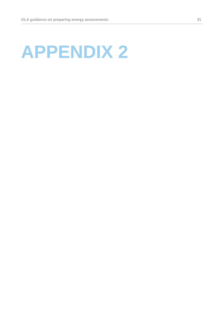## **APPENDIX 2**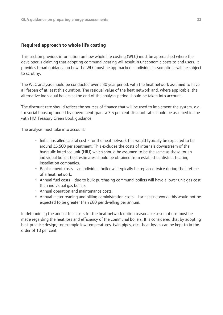### **Required approach to whole life costing**

This section provides information on how whole life costing (WLC) must be approached where the developer is claiming that adopting communal heating will result in uneconomic costs to end users. It provides broad guidance on how the WLC must be approached - individual assumptions will be subject to scrutiny.

The WLC analysis should be conducted over a 30 year period, with the heat network assumed to have a lifespan of at least this duration. The residual value of the heat network and, where applicable, the alternative individual boilers at the end of the analysis period should be taken into account.

The discount rate should reflect the sources of finance that will be used to implement the system, e.g. for social housing funded by government grant a 3.5 per cent discount rate should be assumed in line with HM Treasury Green Book guidance.

The analysis must take into account:

- Initial installed capital cost for the heat network this would typically be expected to be around £5,500 per apartment. This excludes the costs of internals downstream of the hydraulic interface unit (HIU) which should be assumed to be the same as those for an individual boiler. Cost estimates should be obtained from established district heating installation companies.
- Replacement costs an individual boiler will typically be replaced twice during the lifetime of a heat network.
- Annual fuel costs due to bulk purchasing communal boilers will have a lower unit gas cost than individual gas boilers.
- Annual operation and maintenance costs.
- Annual meter reading and billing administration costs for heat networks this would not be expected to be greater than £80 per dwelling per annum.

In determining the annual fuel costs for the heat network option reasonable assumptions must be made regarding the heat loss and efficiency of the communal boilers. It is considered that by adopting best practice design, for example low temperatures, twin pipes, etc., heat losses can be kept to in the order of 10 per cent.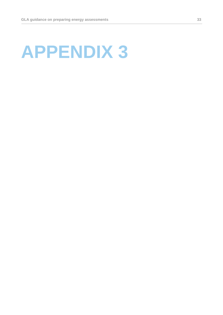## **APPENDIX 3**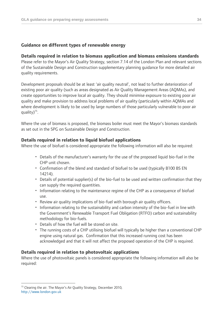### **Guidance on different types of renewable energy**

### **Details required in relation to biomass application and biomass emissions standards**

Please refer to the Mayor's Air Quality Strategy, section 7.14 of the London Plan and relevant sections of the Sustainable Design and Construction supplementary planning guidance for more detailed air quality requirements.

Development proposals should be at least 'air quality neutral', not lead to further deterioration of existing poor air quality (such as areas designated as Air Quality Management Areas (AQMAs), and create opportunities to improve local air quality. They should minimise exposure to existing poor air quality and make provision to address local problems of air quality (particularly within AQMAs and where development is likely to be used by large numbers of those particularly vulnerable to poor air quality)<sup>15</sup>.

Where the use of biomass is proposed, the biomass boiler must meet the Mayor's biomass standards as set out in the SPG on Sustainable Design and Construction.

### **Details required in relation to liquid biofuel applications**

Where the use of biofuel is considered appropriate the following information will also be required:

- Details of the manufacturer's warranty for the use of the proposed liquid bio-fuel in the CHP unit chosen.
- Confirmation of the blend and standard of biofuel to be used (typically B100 BS EN 14214).
- Details of potential supplier(s) of the bio-fuel to be used and written confirmation that they can supply the required quantities.
- Information relating to the maintenance regime of the CHP as a consequence of biofuel use.
- Review air quality implications of bio-fuel with borough air quality officers.
- Information relating to the sustainability and carbon intensity of the bio-fuel in line with the Government's Renewable Transport Fuel Obligation (RTFO) carbon and sustainability methodology for bio-fuels.
- Details of how the fuel will be stored on site.
- The running costs of a CHP utilising biofuel will typically be higher than a conventional CHP engine using natural gas. Confirmation that this increased running cost has been acknowledged and that it will not affect the proposed operation of the CHP is required.

### **Details required in relation to photovoltaic applications**

Where the use of photovoltaic panels is considered appropriate the following information will also be required:

 $\overline{a}$ 

<sup>&</sup>lt;sup>15</sup> Clearing the air. The Mayor's Air Quality Strategy, December 2010, [http://www.london.gov.uk](http://www.london.gov.uk/)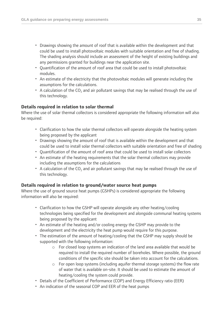- Drawings showing the amount of roof that is available within the development and that could be used to install photovoltaic modules with suitable orientation and free of shading. The shading analysis should include an assessment of the height of existing buildings and any permissions granted for buildings near the application site.
- Quantification of the amount of roof area that could be used to install photovoltaic modules.
- An estimate of the electricity that the photovoltaic modules will generate including the assumptions for the calculations.
- A calculation of the  $CO<sub>2</sub>$  and air pollutant savings that may be realised through the use of this technology.

### **Details required in relation to solar thermal**

Where the use of solar thermal collectors is considered appropriate the following information will also be required:

- Clarification to how the solar thermal collectors will operate alongside the heating system being proposed by the applicant
- Drawings showing the amount of roof that is available within the development and that could be used to install solar thermal collectors with suitable orientation and free of shading
- Quantification of the amount of roof area that could be used to install solar collectors
- An estimate of the heating requirements that the solar thermal collectors may provide including the assumptions for the calculations
- A calculation of the CO<sub>2</sub> and air pollutant savings that may be realised through the use of this technology.

### **Details required in relation to ground/water source heat pumps**

Where the use of ground source heat pumps (GSHPs) is considered appropriate the following information will also be required:

- Clarification to how the GSHP will operate alongside any other heating/cooling technologies being specified for the development and alongside communal heating systems being proposed by the applicant
- An estimate of the heating and/or cooling energy the GSHP may provide to the development and the electricity the heat pump would require for this purpose.
- The estimation of the amount of heating/cooling that the GSHP may supply should be supported with the following information:
	- o For closed loop systems an indication of the land area available that would be required to install the required number of boreholes. Where possible, the ground conditions of the specific site should be taken into account for the calculations.
	- o For open loop systems (including aquifer thermal storage systems) the flow rate of water that is available on-site. It should be used to estimate the amount of heating/cooling the system could provide.
- Details of the Coefficient of Performance (COP) and Energy Efficiency ratio (EER)
- An indication of the seasonal COP and EER of the heat pumps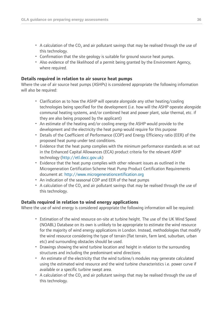- A calculation of the  $CO<sub>2</sub>$  and air pollutant savings that may be realised through the use of this technology.
- Confirmation that the site geology is suitable for ground source heat pumps.
- Also evidence of the likelihood of a permit being granted by the Environment Agency, where required.

### **Details required in relation to air source heat pumps**

Where the use of air source heat pumps (ASHPs) is considered appropriate the following information will also be required:

- Clarification as to how the ASHP will operate alongside any other heating/cooling technologies being specified for the development (i.e. how will the ASHP operate alongside communal heating systems, and/or combined heat and power plant, solar thermal, etc. if they are also being proposed by the applicant)
- An estimate of the heating and/or cooling energy the ASHP would provide to the development and the electricity the heat pump would require for this purpose
- Details of the Coefficient of Performance (COP) and Energy Efficiency ratio (EER) of the proposed heat pump under test conditions.
- Evidence that the heat pump complies with the minimum performance standards as set out in the Enhanced Capital Allowances (ECA) product criteria for the relevant ASHP technology [\(http://etl.decc.gov.uk\)](http://etl.decc.gov.uk/)
- Evidence that the heat pump complies with other relevant issues as outlined in the Microgeneration Certification Scheme Heat Pump Product Certification Requirements document at: [http://www.microgenerationcertification.org](http://www.microgenerationcertification.org/)
- An indication of the seasonal COP and EER of the heat pumps
- A calculation of the CO<sub>2</sub> and air pollutant savings that may be realised through the use of this technology.

### **Details required in relation to wind energy applications**

Where the use of wind energy is considered appropriate the following information will be required:

- Estimation of the wind resource on-site at turbine height. The use of the UK Wind Speed (NOABL) Database on its own is unlikely to be appropriate to estimate the wind resource for the majority of wind energy applications in London. Instead, methodologies that modify the wind resource considering the type of terrain (flat terrain, farm land, suburban, urban etc) and surrounding obstacles should be used.
- Drawings showing the wind turbine location and height in relation to the surrounding structures and including the predominant wind directions
- An estimate of the electricity that the wind turbine/s modules may generate calculated using the estimated wind resource and the wind turbine characteristics i.e. power curve if available or a specific turbine swept area.
- A calculation of the  $CO<sub>2</sub>$  and air pollutant savings that may be realised through the use of this technology.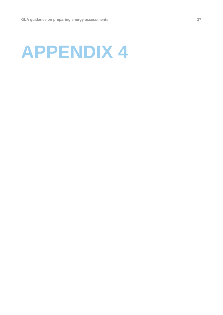## **APPENDIX 4**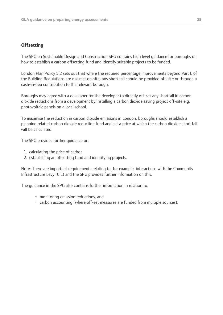### **Offsetting**

The SPG on Sustainable Design and Construction SPG contains high level guidance for boroughs on how to establish a carbon offsetting fund and identify suitable projects to be funded.

London Plan Policy 5.2 sets out that where the required percentage improvements beyond Part L of the Building Regulations are not met on-site, any short fall should be provided off-site or through a cash-in-lieu contribution to the relevant borough.

Boroughs may agree with a developer for the developer to directly off-set any shortfall in carbon dioxide reductions from a development by installing a carbon dioxide saving project off-site e.g. photovoltaic panels on a local school.

To maximise the reduction in carbon dioxide emissions in London, boroughs should establish a planning related carbon dioxide reduction fund and set a price at which the carbon dioxide short fall will be calculated.

The SPG provides further guidance on:

- 1. calculating the price of carbon
- 2. establishing an offsetting fund and identifying projects.

Note: There are important requirements relating to, for example, interactions with the Community Infrastructure Levy (CIL) and the SPG provides further information on this.

The guidance in the SPG also contains further information in relation to:

- monitoring emission reductions, and
- carbon accounting (where off-set measures are funded from multiple sources).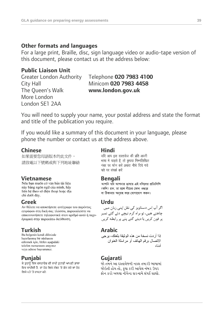### **Other formats and languages**

For a large print, Braille, disc, sign language video or audio-tape version of this document, please contact us at the address below:

### **Public Liaison Unit**

The Queen's Walk **www.london.gov.uk** More London London SE1 2AA

## Greater London Authority Telephone **020 7983 4100** City Hall Minicom **020 7983 4458**

You will need to supply your name, your postal address and state the format and title of the publication you require.

If you would like a summary of this document in your language, please phone the number or contact us at the address above.

**Chinese Hindi** 如果需要您母語版本的此文件, 請致電以下號碼或與下列地址聯絡

này bằng ngôn ngữ của mình, hay liên hê theo số điên thoại hoặc địa chỉ dưới đây.

**Greek Urdu** εγγράφου στη δική σας γλώσσα, παρακαλείστε να επικοινωνήσετε τηλεφωνικά στον αριθμό αυτό ή ταχυδρομικά στην παρακάτω διεύθυνση.

**Turkish Arabic** hazırlanmış bir nüshasını edinmek için, lütfen aşağıdaki telefon numarasını arayınız veya adrese başvurunuz.

ਜੇ ਤੁਹਾਨੂੰ ਇਸ ਦਸਤਾਵੇਜ਼ ਦੀ ਕਾਪੀ ਤੁਹਾਡੀ ਆਪਣੀ ਭਾਸ਼ਾ ਵਿਚ ਚਾਹੀਦੀ ਹੈ, ਤਾਂ ਹੇਠ ਲਿਖੇ ਨੰਬਰ 'ਤੇ ਫ਼ੋਨ ਕਰੋ ਜਾਂ ਹੇਠ ਲਿਖੇ ਪਤੇ 'ਤੇ ਰਾਬਤਾ ਕਰੋ:

भाषा में चाहते हैं, तो कृपया निम्नलिखित नंबर पर फोन करें अथवा नीचे दिये गये पते पर संपर्क करें

**Vietnamese Bengali** (কপি) চান, তা হলে নীচের ফোন নম্বরে বা ঠিকানায় অনুগ্রহ করে যোগাযোগ করুন।

چاھتے ھیں، تو براہ کرم نیچے دئے گئے نمبر پر فون کریں یا دیئے گئے پتے پر رابطه کریں

اذا أر دت نسخة من هذه الوثبقة بلغتك، بر جي الاتصال برقم الهاتف أو مراسلة العنوان أدناه

### **Punjabi Gujarati**

જો તમને આ દસ્તાવેજની નકલ તમારી ભાષામાં જોઇતી હોય તો. કપા કરી આપેલ નંબર ઉપર કોન કરો અથવા નીચેના સરનામે સંપર્ક સાઘો.